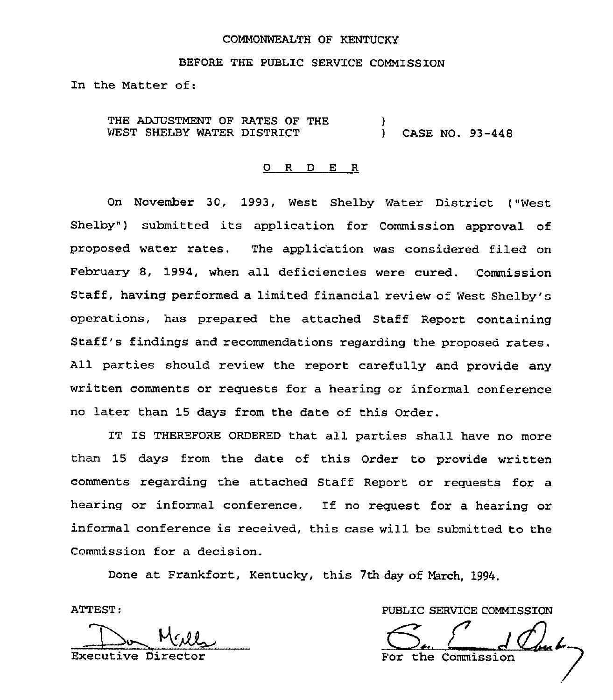#### COMMONWEALTH OF KENTUCKY

BEFORE THE PUBLIC SERVICE COMMISSION

In the Matter of:

THE ADJUSTMENT OF RATES OF THE WEST SHELBY WATER DISTRICT  $\mathbf{I}$ ) CASE NO. 93-448

#### 0 R <sup>D</sup> E R

On November 30, 1993, West Shelby Water District ("West Shelby") submitted its application for Commission approval of proposed water rates. The applioation was considered filed on February 8, 1994, when all deficiencies were cured. Commission Staff, having performed a limited financial review of West Shelby's operations, has prepared the attached Staff Report containing Staff's findings and recommendations regarding the proposed rates, All parties should review the report carefully and provide any written comments or requests for a hearing or informal conference no later than 15 days from the date of this Order.

IT IS THEREFORE ORDERED that all parties shall have no more than 15 days from the date of this Order to provide written comments regarding the attached Staff Report or requests for a hearing or informal conference. If no request for a hearing or informal conference is received, this case will be submitted to the Commission for a decision.

Done at Frankfort, Kentucky, this 7th day of March, 1994.

ATTEST

Executive Dir

PUBLIC SERVICE COMMISSION

For the Commission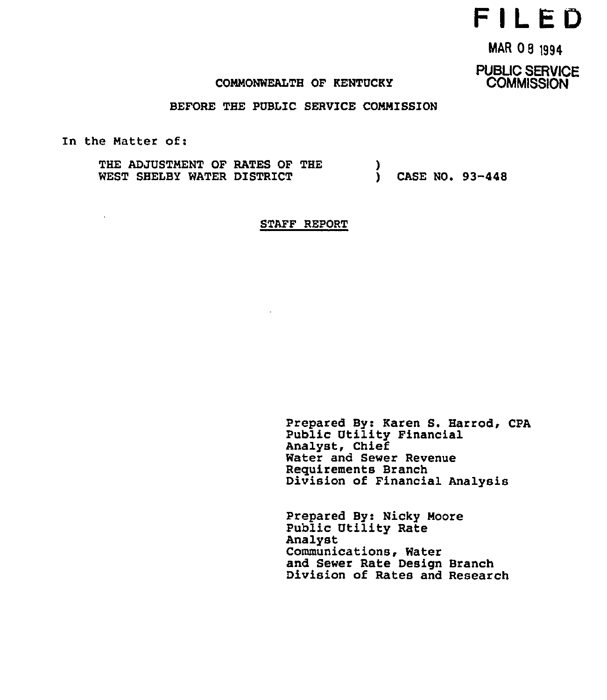# F IL ED

MAR 08 1994

PUBLIC SERVICE **COMMISSION** 

## COMMONWEALTH OF KENTUCKY

BEFORE THE PUBLIC SERVICE COMMISSION

In the Matter of:

 $\mathbf{r}$ 

THE ADJUSTMENT OF RATES OF THE WEST SHELBY WATER DISTRICT )<br>1 ) CASE NO. 93-448

STAFF REPORT

Prepared By: Karen S. Harrod, CPA Public Utility Financial Analyst, Chief Water and Sewer Revenue Reguirements Branch Division of Financial Analysis

Prepared By: Nicky Moore Public Utility Rate Analyst Communications, Water and Sewer Rate Design Branch Division of Rates and Research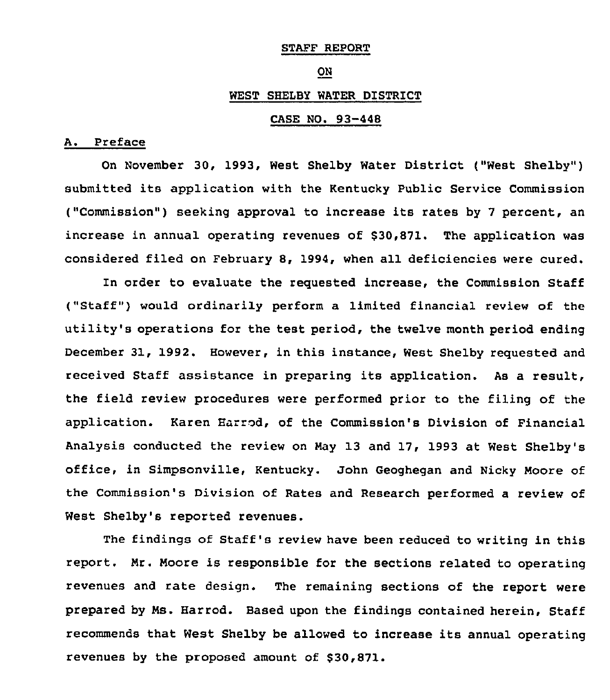#### STAFF REPORT

#### ON

#### WEST SHELBY WATER DISTRICT

# CASE NO. 93-448

# A. Preface

On November 30, 1993, West Shelby Water District ("West Shelby" ) submitted its application with the Kentucky Public Service Commission ("Commission") seeking approval to increase its rates by 7 percent, an increase in annual operating revenues of \$30,871. The application was considered filed on February 8, 1994, when all deficiencies were cured.

In order to evaluate the requested increase, the Commission Staff ("Staff") would ordinarily perform a limited financial review of the utility's operations for the test period, the twelve month period ending December 31, 1992. However, in this instance, West Shelby requested and received Staff assistance in preparing its application. As a result, the field review procedures were performed prior to the filing of the application. Karen Hatred, of the Commission's Division of Financial Analysis conducted the review on May 13 and 17, 1993 at West Shelby's office, in Simpsonville, Kentucky. John Geoghegan and Nicky Moore of the Commission's Division of Rates and Research performed a review of West Shelby's reported revenues.

The findings of Staff's review have been reduced to writing in this report. Mr. Moore is responsible for the sections related to operating revenues and rate design. The remaining sections of the report were prepared by Ms. Harrod. Based upon the findings contained herein, Staff recommends that West Shelby be allowed to increase its annual operating revenues by the proposed amount of \$30,871.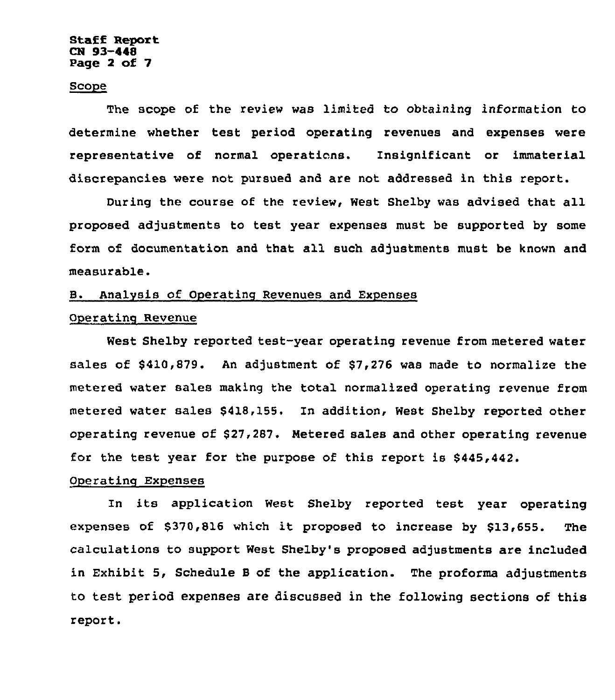#### Staff Report CN 93-448 Page 2 of 7

## **Scope**

The scope of the review was limited to obtaining information to determine whether test period operating revenues and expenses were representative of normal operations. Insignificant or immaterial discrepancies were not pursued and are not addressed in this report.

During the course of the review, West Shelby was advised that all proposed adjustments to test year expenses must be supported by some form of documentation and that all such adjustments must be known and measurable.

# B. Analysis of Operating Revenues and Expenses

# Operating Revenue

West Shelby reported test-year operating revenue from metered water sales of \$410,879. An adjustment of \$7,276 was made to normalize the metered water sales making the total normalized operating revenue from metered water sales \$418,155, In addition, West Shelby reported other operating revenue of \$27,287. Metered sales and other operating revenue for the test year for the purpose of this report is \$445,442.

#### Operating Expenses

In its application West Shelby reported test year operating expenses of \$370,816 which it proposed to increase by \$13,655. The calculations to support Nest Shelby's proposed adjustments are included in Exhibit 5, Schedule <sup>B</sup> of the application. The proforma adjustments to test period expenses are discussed in the following sections of this report.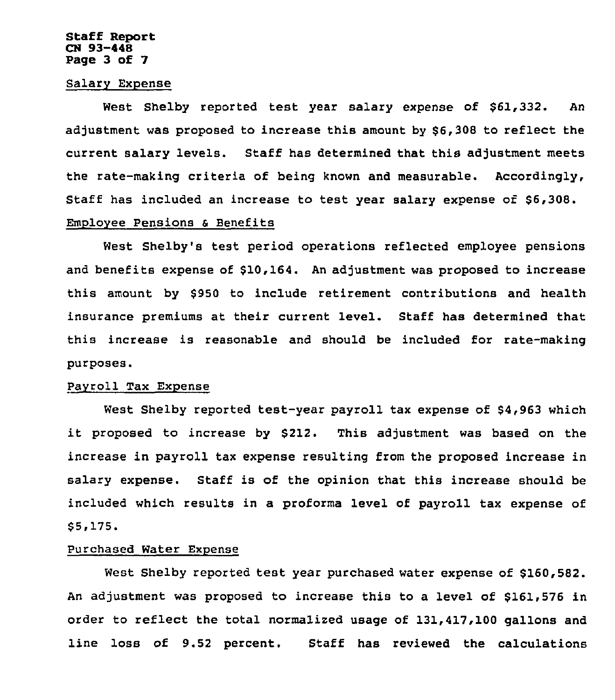#### Staff Report CN 93-448 Page 3 of 7

# Salary Expense

West Shelby reported test year salary expense of \$61,332. An adjustment was proposed to increase this amount by \$6,308 to reflect the current salary levels. Staff has determined that this adjustment meets the rate-making criteria of being known and measurable. Accordingly, Staff has included an increase to test year salary expense of \$6,308. Employee Pensions & Benefits

West Shelby's test period operations reflected employee pensions and benefits expense of \$10,164. An adjustment was proposed to increase this amount by \$950 to include retirement contributions and health insurance premiums at their current level. Staff has determined that this increase is reasonable and should be included for rate-making purposes.

#### Payroll Tax Expense

West Shelby reported test-year payroll tax expense of \$4,963 which it proposed to increase by \$212. This adjustment was based on the increase in payroll tax expense resulting from the proposed increase in salary expense. Staff is of the opinion that this increase should be included which results in a proforma level of payroll tax expense of \$ 5,175.

# Purchased Water Expense

West Shelby reported test year purchased water expense of \$160,582. An adjustment was proposed to increase this to a level of \$161 576 in order to reflect the total normalized usage of 131,417,100 gallons and line loss of 9.52 percent. Staff has reviewed the calculations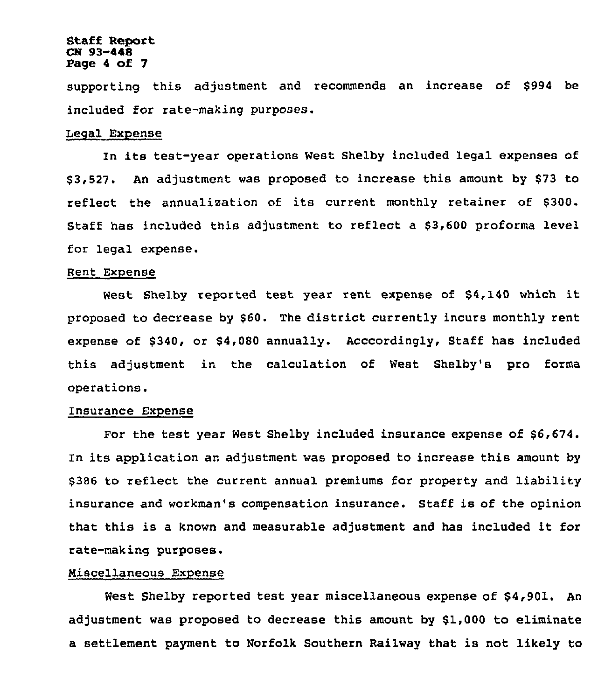#### Staff Report CN 93-448 Page <sup>4</sup> of 7

supporting this adjustment and recommends an increase of \$994 be included for rate-making purposes.

## Legal Expense

In its test-year operations West Shelby included legal expenses of \$ 3,527. An adjustment was proposed to increase this amount by \$73 to reflect the annualization of its current monthly retainer of \$300. Staff has included this adjustment to reflect a \$3,600 proforma level for legal expense.

#### Rent Expense

West Shelby reported test year rent expense of \$4,140 which it proposed to decrease by \$60. The district currently incurs monthly rent expense of \$340, or \$4,080 annually. Acccordingly, Staff has included this adjustment in the calculation of West Shelby's pro forma operations.

# Insurance Expense

For the test year West Shelby included insurance expense of \$6,674. In its application an adjustment was proposed to increase this amount by \$386 to reflect the current annual premiums for property and liability insurance and workman's compensation insurance. Staff is of the opinion that this is <sup>a</sup> known and measurable adjustment and has included it for rate-making purposes.

#### Niscellaneous Expense

West Shelby reported test year miscellaneous expense of \$4,901. An adjustment was proposed to decrease this amount by \$1,000 to eliminate a settlement payment to Norfolk Southern Railway that is not likely to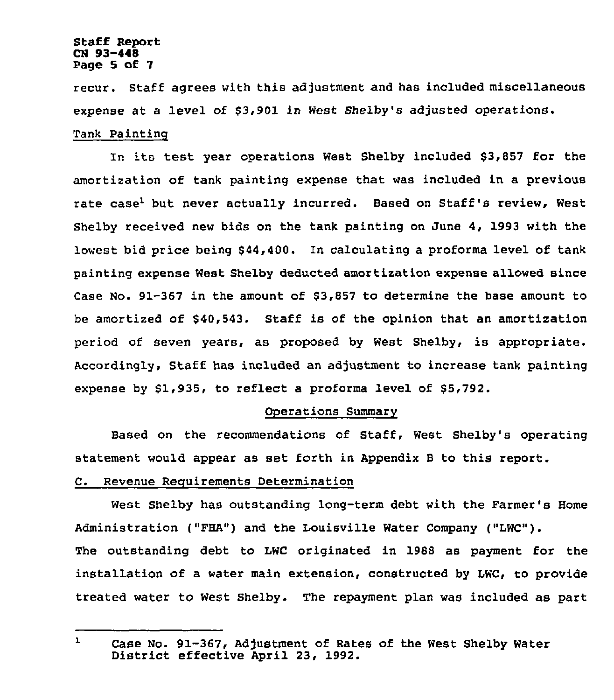#### Staff Report CN 93-448 Page 5 of 7

recur. Staff agrees with this adjustment and has included miscellaneous expense at a level of \$3,901 in West Shelby's adjusted operations. Tank Painting

In its test year operations West Shelby included \$3,857 for the amortization of tank painting expense that was included in a previous rate case<sup>l</sup> but never actually incurred. Based on Staff's review, West Shelby received new bids on the tank painting on June 4, 1993 with the lowest bid price being 844,400. In calculating a proforma level of tank painting expense West Shelby deducted amortization expense allowed since Case No. 91-367 in the amount of \$3,857 to determine the base amount to be amortized of \$40,543. Staff is of the opinion that an amortization period of seven years, as proposed by West Shelby, is appropriate. Accordingly, Staff has included an adjustment to increase tank painting expense by  $$1,935$ , to reflect a proforma level of  $$5,792$ .

#### Operations Summary

Based on the recommendations of Staff, West Shelby's operating statement would appear as set forth in Appendix <sup>B</sup> to this report.

## C. Revenue Reguirements Determination

West Shelby has outstanding long-term debt with the Farmer's Home Administration ("FHA") and the Louisville Water Company ("LWC"). The outstanding debt to LWC originated in 1988 as payment for the installation of a water main extension, constructed by LWC, to provide treated water to West Shelby. The repayment plan was included as part

 $\mathbf{1}$ Case No. 91-367, Adjustment of Rates of the West Shelby Water<br>District effective April 23, 1992.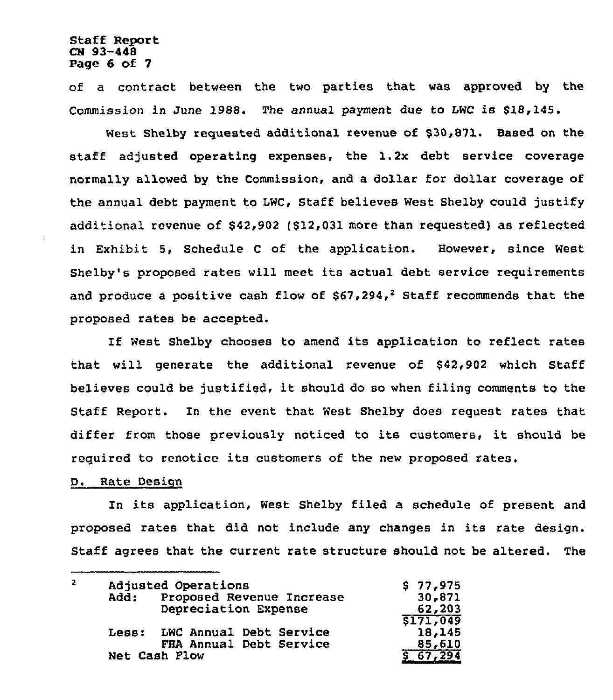## Staff Report CN 93-448 Page 6 of 7

of a contract between the two parties that was approved by the Commission in June 1988. The annual payment due to LWC is \$18,145.

West Shelby requested additional revenue of \$30,871. Based on the staff adjusted operating expenses, the 1.2x debt service coverage normally allowed by the Commission, and a dollar for dollar coverage of the annual debt payment to LWC, Staff believes West Shelby could justify additional revenue of \$42,902 (\$12,031 more than requested) as reflected in Exhibit 5, Schedule <sup>C</sup> of the application. However, since West Shelby's proposed rates will meet its actual debt service requirements and produce a positive cash flow of  $$67,294,2$  Staff recommends that the proposed rates be accepted.

If West Shelby chooses to amend its application to reflect rates that will generate the additional revenue of \$42,902 which Staff believes could be justified, it should do so when filing comments to the Staff Report. In the event that West Shelby does request rates that differ from those previously noticed to its customers, it should be required to renotice its customers of the new proposed rates.

#### D. Rate Desiqn

In its application, West Shelby filed a schedule of present and proposed rates that did not include any changes in its rate design. Staff agrees that the current rate structure should not be altered. The

| 2 | Adjusted Operations                      | \$77,975 |
|---|------------------------------------------|----------|
|   | Proposed Revenue Increase<br><b>Add:</b> | 30,871   |
|   | Depreciation Expense                     | 62,203   |
|   |                                          | S171,049 |
|   | Less: LWC Annual Debt Service            | 18,145   |
|   | FHA Annual Debt Service                  | 85,610   |
|   | Net Cash Flow                            | 67,294   |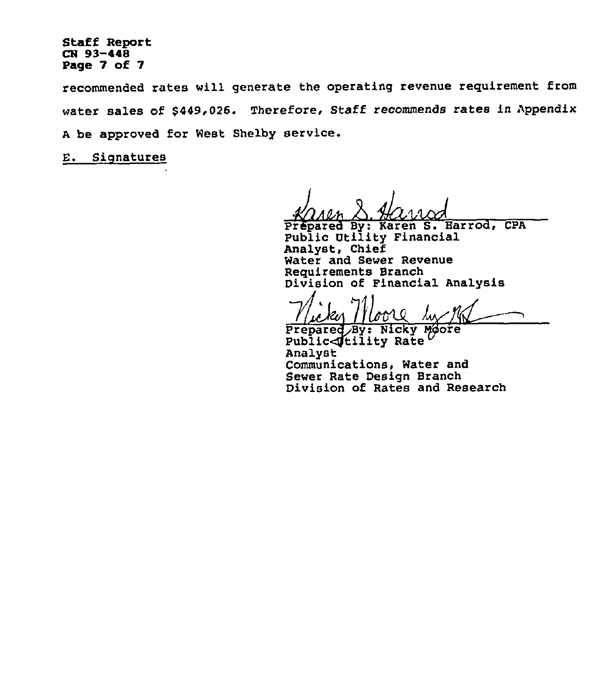## Staff Report CB 93-448 Page 7 of 7

recommended rates will generate the operating revenue requirement from water sales of \$449,026. Therefore, Staff recommends rates in Appendix <sup>A</sup> be approved for West Shelby service.

E. Signatures

Prepared By: Karen S. Harrod, CPA Public Utility Financial Analyst, Chief Water and Sewer Revenue Requirements Branch<br>Division of Financial Analysis

Prepared By: Nicky Moore<br>Public (tility Rate Analyst Communications, Water and Sewer Rate Design Branch Division of Rates and Research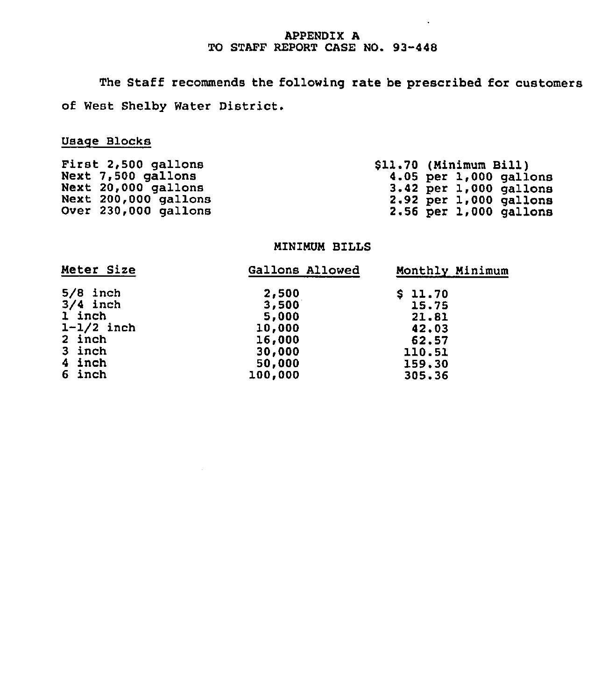# APPENDIX A TO STAFF REPORT CASE NO. 93-448

 $\ddot{\phantom{a}}$ 

The Staff recommends the following rate be prescribed for customers of West Shelby Water District.

# Usage Blocks

| First 2,500 gallons  | \$11.70 (Minimum Bill)     |
|----------------------|----------------------------|
| Next 7,500 gallons   | 4.05 per $1,000$ gallons   |
| Next 20,000 gallons  | $3.42$ per $1,000$ gallons |
| Next 200,000 gallons | $2.92$ per $1,000$ gallons |
| Over 230,000 gallons | $2.56$ per $1,000$ gallons |

# MINIMUM BILLS

| Meter Size   | Gallons Allowed | Monthly Minimum |
|--------------|-----------------|-----------------|
| $5/8$ inch   | 2,500           | \$11.70         |
| $3/4$ inch   | 3,500           | 15.75           |
| 1 inch       | 5,000           | 21.81           |
| $1-1/2$ inch | 10,000          | 42.03           |
| 2 inch       | 16,000          | 62.57           |
| 3 inch       | 30,000          | 110.51          |
| 4 inch       | 50,000          | 159.30          |
| 6 inch       | 100,000         | 305,36          |